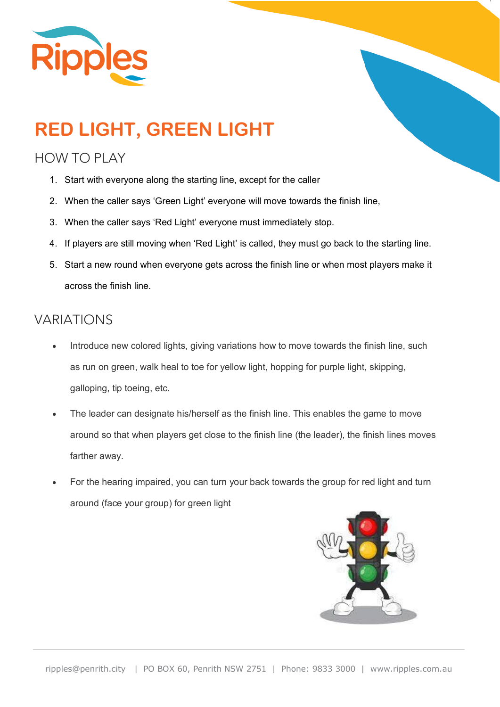

# **RED LIGHT, GREEN LIGHT**

#### HOW TO PLAY

- 1. Start with everyone along the starting line, except for the caller
- 2. When the caller says 'Green Light' everyone will move towards the finish line,
- 3. When the caller says 'Red Light' everyone must immediately stop.
- 4. If players are still moving when 'Red Light' is called, they must go back to the starting line.
- 5. Start a new round when everyone gets across the finish line or when most players make it across the finish line.

### VARIATIONS

- Introduce new colored lights, giving variations how to move towards the finish line, such as run on green, walk heal to toe for yellow light, hopping for purple light, skipping, galloping, tip toeing, etc.
- The leader can designate his/herself as the finish line. This enables the game to move around so that when players get close to the finish line (the leader), the finish lines moves farther away.
- For the hearing impaired, you can turn your back towards the group for red light and turn around (face your group) for green light

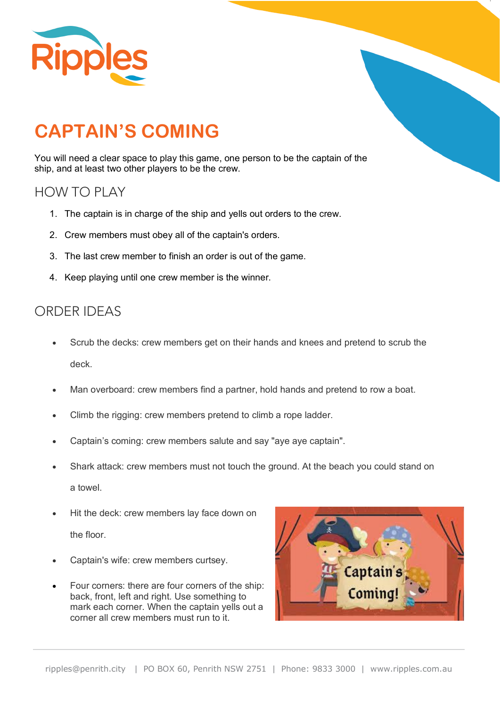

## **CAPTAIN'S COMING**

You will need a clear space to play this game, one person to be the captain of the ship, and at least two other players to be the crew.

#### HOW TO PLAY

- 1. The captain is in charge of the ship and yells out orders to the crew.
- 2. Crew members must obey all of the captain's orders.
- 3. The last crew member to finish an order is out of the game.
- 4. Keep playing until one crew member is the winner.

### ORDER IDEAS

- Scrub the decks: crew members get on their hands and knees and pretend to scrub the deck.
- Man overboard: crew members find a partner, hold hands and pretend to row a boat.
- Climb the rigging: crew members pretend to climb a rope ladder.
- Captain's coming: crew members salute and say "aye aye captain".
- Shark attack: crew members must not touch the ground. At the beach you could stand on a towel.
- Hit the deck: crew members lay face down on the floor.
- Captain's wife: crew members curtsey.
- Four corners: there are four corners of the ship: back, front, left and right. Use something to mark each corner. When the captain yells out a corner all crew members must run to it.

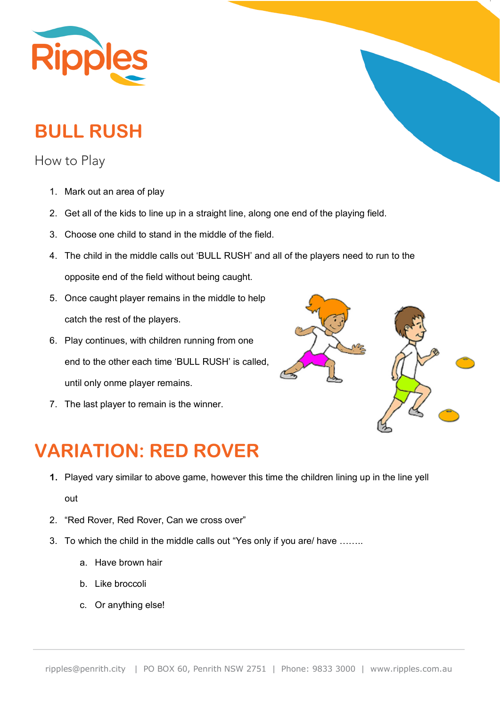

## **BULL RUSH**

How to Play

- 1. Mark out an area of play
- 2. Get all of the kids to line up in a straight line, along one end of the playing field.
- 3. Choose one child to stand in the middle of the field.
- 4. The child in the middle calls out 'BULL RUSH' and all of the players need to run to the opposite end of the field without being caught.
- 5. Once caught player remains in the middle to help catch the rest of the players.
- 6. Play continues, with children running from one end to the other each time 'BULL RUSH' is called, until only onme player remains.
- 7. The last player to remain is the winner.



### **VARIATION: RED ROVER**

- **1.** Played vary similar to above game, however this time the children lining up in the line yell out
- 2. "Red Rover, Red Rover, Can we cross over"
- 3. To which the child in the middle calls out "Yes only if you are/ have ……..
	- a. Have brown hair
	- b. Like broccoli
	- c. Or anything else!